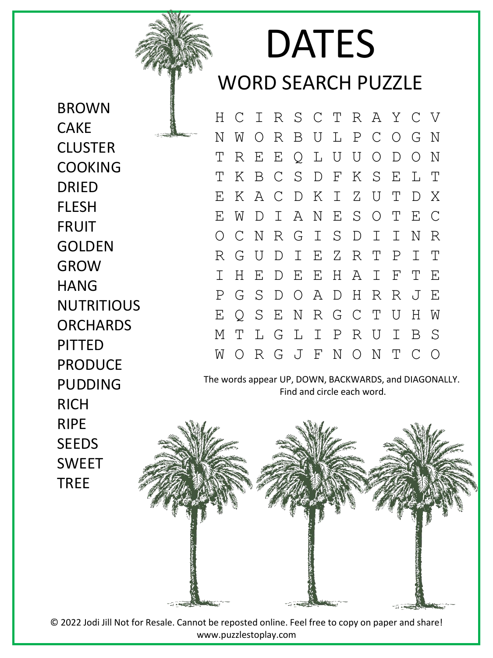## DATES WORD SEARCH PUZZLE

H C I R S C T R A Y C V N W O R B U L P C O G N T R E E Q L U U O D O N T K B C S D F K S E L T E K A C D K I Z U T D X E W D I A N E S O T E C O C N R G I S D I I N R R G U D I E Z R T P I T I H E D E E H A I F T E P G S D O A D H R R J E E Q S E N R G C T U H W M T L G L I P R U I B S W O R G J F N O N T C O

The words appear UP, DOWN, BACKWARDS, and DIAGONALLY. Find and circle each word.



© 2022 Jodi Jill Not for Resale. Cannot be reposted online. Feel free to copy on paper and share! www.puzzlestoplay.com

BROWN **CAKE CLUSTER** COOKING DRIED FLESH FRUIT GOLDEN GROW **HANG NUTRITIOUS ORCHARDS** PITTED PRODUCE PUDDING RICH RIPE **SEEDS** SWEET TREE